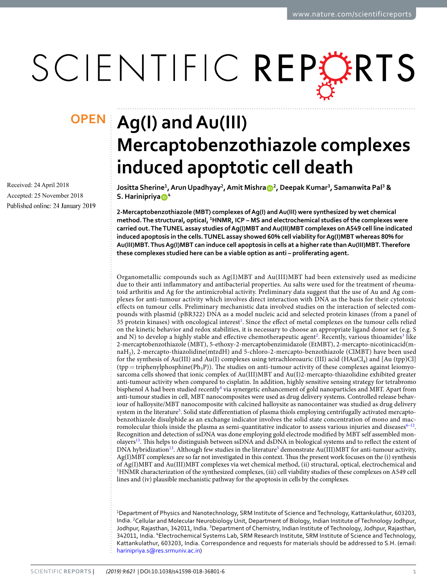# SCIENTIFIC REPERTS

Received: 24 April 2018 Accepted: 25 November 2018 Published online: 24 January 2019

## **Ag(I) and Au(III) OPENMercaptobenzothiazole complexes induced apoptotic cell death**

**Jositta Sherine<sup>1</sup> , Arun Upadhyay<sup>2</sup> , Amit Mishra<sup>2</sup> , Deepak Kumar<sup>3</sup> , Samanwita Pal<sup>3</sup> & S. Harinipriya<sup>4</sup>**

**2-Mercaptobenzothiazole (MBT) complexes of Ag(I) and Au(III) were synthesized by wet chemical method. The structural, optical, <sup>1</sup>HNMR, ICP – MS and electrochemical studies of the complexes were carried out. The TUNEL assay studies of Ag(I)MBT and Au(III)MBT complexes on A549 cell line indicated induced apoptosis in the cells. TUNEL assay showed 60% cell viability for Ag(I)MBT whereas 80% for Au(III)MBT. Thus Ag(I)MBT can induce cell apoptosis in cells at a higher rate than Au(III)MBT. Therefore these complexes studied here can be a viable option as anti – proliferating agent.**

Organometallic compounds such as Ag(I)MBT and Au(III)MBT had been extensively used as medicine due to their anti inflammatory and antibacterial properties. Au salts were used for the treatment of rheumatoid arthritis and Ag for the antimicrobial activity. Preliminary data suggest that the use of Au and Ag complexes for anti-tumour activity which involves direct interaction with DNA as the basis for their cytotoxic effects on tumour cells. Preliminary mechanistic data involved studies on the interaction of selected compounds with plasmid (pBR322) DNA as a model nucleic acid and selected protein kinases (from a panel of 35 protein kinases) with oncological interest<sup>[1](#page-8-0)</sup>. Since the effect of metal complexes on the tumour cells relied on the kinetic behavior and redox stabilities, it is necessary to choose an appropriate ligand donor set (e.g. S and N) to develop a highly stable and effective chemotherapeutic agent<sup>[2](#page-8-1)</sup>. Recently, various thioamides<sup>[3](#page-8-2)</sup> like 2-mercaptobenzothiazole (MBT), 5-ethoxy-2-mercaptobenzimidazole (EtMBT), 2-mercapto-nicotinicacid(mnaH<sub>2</sub>), 2-mercapto-thiazolidine(mtzdH) and 5-chloro-2-mercapto-benzothiazole (ClMBT) have been used for the synthesis of Au(III) and Au(I) complexes using tetrachloroauric (III) acid (HAuCl<sub>4</sub>) and [Au (tpp)Cl]  $(tpp = triphenylphosphine(Ph<sub>3</sub>P))$ . The studies on anti-tumour activity of these complexes against leiomyosarcoma cells showed that ionic complex of Au(III)MBT and Au(I)2-mercapto-thiazolidine exhibited greater anti-tumour activity when compared to cisplatin. In addition, highly sensitive sensing strategy for tetrabromo bisphenol A had been studied recently<sup>[4](#page-8-3)</sup> via synergetic enhancement of gold nanoparticles and MBT. Apart from anti-tumour studies in cell, MBT nanocomposites were used as drug delivery systems. Controlled release behaviour of halloysite/MBT nanocomposite with calcined halloysite as nanocontainer was studied as drug delivery system in the literature<sup>[5](#page-8-4)</sup>. Solid state differentiation of plasma thiols employing centrifugally activated mercaptobenzothiazole disulphide as an exchange indicator involves the solid state concentration of mono and macromolecular thiols inside the plasma as semi-quantitative indicator to assess various injuries and diseases $6-12$  $6-12$ . Recognition and detection of ssDNA was done employing gold electrode modified by MBT self assembled monolayers[13](#page-8-7). This helps to distinguish between ssDNA and dsDNA in biological systems and to reflect the extent of DNA hybridization<sup>[13](#page-8-7)</sup>. Although few studies in the literature<sup>[5](#page-8-4)</sup> demonstrate Au(III)MBT for anti-tumour activity, Ag(I)MBT complexes are so far not investigated in this context. Thus the present work focuses on the (i) synthesis of Ag(I)MBT and Au(III)MBT complexes via wet chemical method, (ii) structural, optical, electrochemical and <sup>1</sup>HNMR characterization of the synthesized complexes, (iii) cell viability studies of these complexes on A549 cell lines and (iv) plausible mechanistic pathway for the apoptosis in cells by the complexes.

<sup>1</sup>Department of Physics and Nanotechnology, SRM Institute of Science and Technology, Kattankulathur, 603203, India. <sup>2</sup>Cellular and Molecular Neurobiology Unit, Department of Biology, Indian Institute of Technology Jodhpur, Jodhpur, Rajasthan, 342011, India. <sup>3</sup>Department of Chemistry, Indian Institute of Technology, Jodhpur, Rajasthan, 342011, India. <sup>4</sup>Electrochemical Systems Lab, SRM Research Institute, SRM Institute of Science and Technology, Kattankulathur, 603203, India. Correspondence and requests for materials should be addressed to S.H. (email: [harinipriya.s@res.srmuniv.ac.in\)](mailto:harinipriya.s@res.srmuniv.ac.in)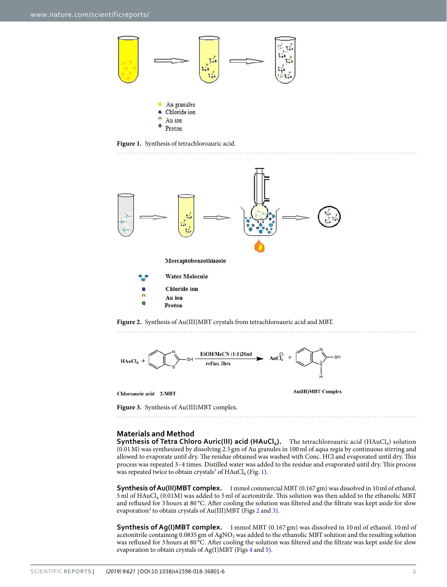

<span id="page-1-0"></span>**Figure 1.** Synthesis of tetrachloroauric acid.



<span id="page-1-1"></span>

Chloroauric acid 2-MBT

**Au(III)MBT** Complex

<span id="page-1-2"></span>**Figure 3.** Synthesis of Au(III)MBT complex.

#### **Materials and Method**

**Synthesis of Tetra Chloro Auric(III) acid (HAuCl<sub>4</sub>).** The tetrachloroauric acid (HAuCl<sub>4</sub>) solution (0.01 M) was synthesized by dissolving 2.5 gm of Au granules in 100 ml of aqua regia by continuous stirring and allowed to evaporate until dry. The residue obtained was washed with Conc. HCl and evaporated until dry. This process was repeated 3–4 times. Distilled water was added to the residue and evaporated until dry. This process was repeated twice to obtain crystals<sup>[5](#page-8-4)</sup> of  $\rm HAuCl_4$  (Fig. [1](#page-1-0)).

**Synthesis of Au(III)MBT complex.** 1 mmol commercial MBT (0.167 gm) was dissolved in 10 ml of ethanol. 5 ml of HAuCl<sub>4</sub> (0.01M) was added to 5 ml of acetonitrile. This solution was then added to the ethanolic MBT and refluxed for 3 hours at 80 °C. After cooling the solution was filtered and the filtrate was kept aside for slow evaporation<sup>[3](#page-8-2)</sup> to obtain crystals of Au(III)MBT (Figs [2](#page-1-1) and [3](#page-1-2)).

**Synthesis of Ag(I)MBT complex.** 1 mmol MBT (0.167 gm) was dissolved in 10 ml of ethanol. 10 ml of acetonitrile containing 0.0835 gm of AgNO<sub>3</sub> was added to the ethanolic MBT solution and the resulting solution was refluxed for 3 hours at 80 °C. After cooling the solution was filtered and the filtrate was kept aside for slow evaporation to obtain crystals of Ag(I)MBT (Figs [4](#page-2-0) and [5\)](#page-2-1).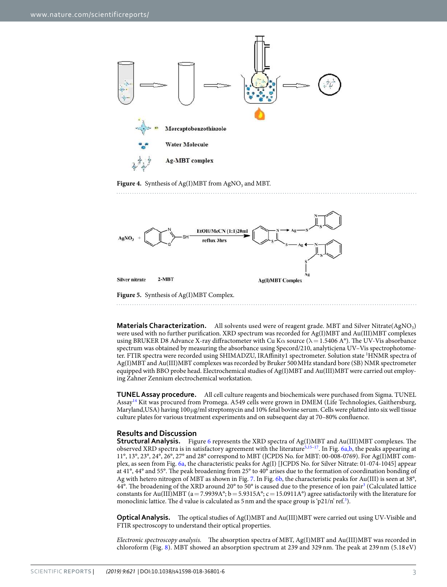

<span id="page-2-0"></span>**Figure 4.** Synthesis of  $Ag(I)MBT$  from  $AgNO_3$  and MBT.



<span id="page-2-1"></span>**Figure 5.** Synthesis of Ag(I)MBT Complex.

**Materials Characterization.** All solvents used were of reagent grade. MBT and Silver Nitrate(AgNO<sub>3</sub>) were used with no further purification. XRD spectrum was recorded for Ag(I)MBT and Au(III)MBT complexes using BRUKER D8 Advance X-ray diffractometer with Cu K $\alpha$  source ( $\lambda = 1.5406$  A°). The UV-Vis absorbance spectrum was obtained by measuring the absorbance using Specord/210, analyticjena UV–Vis spectrophotometer. FTIR spectra were recorded using SHIMADZU, IRAffinity1 spectrometer. Solution state <sup>1</sup>HNMR spectra of Ag(I)MBT and Au(III)MBT complexes was recorded by Bruker 500 MHz standard bore (SB) NMR spectrometer equipped with BBO probe head. Electrochemical studies of Ag(I)MBT and Au(III)MBT were carried out employing Zahner Zennium electrochemical workstation.

**TUNEL Assay procedure.** All cell culture reagents and biochemicals were purchased from Sigma. TUNEL Assay[14](#page-8-8) Kit was procured from Promega. A549 cells were grown in DMEM (Life Technologies, Gaithersburg, Maryland,USA) having 100 µg/ml streptomycin and 10% fetal bovine serum. Cells were platted into six well tissue culture plates for various treatment experiments and on subsequent day at 70–80% confluence.

#### **Results and Discussion**

**Structural Analysis.** Figure [6](#page-3-0) represents the XRD spectra of Ag(I)MBT and Au(III)MBT complexes. The observed XRD spectra is in satisfactory agreement with the literature<sup>[5,](#page-8-4)[15–](#page-8-9)[17](#page-8-10)</sup>. In Fig. [6a,b](#page-3-0), the peaks appearing at 11°, 13°, 23°, 24°, 26°, 27° and 28° correspond to MBT (JCPDS No. for MBT: 00-008-0769). For Ag(I)MBT complex, as seen from Fig. [6a,](#page-3-0) the characteristic peaks for Ag(I) [JCPDS No. for Silver Nitrate: 01-074-1045] appear at 41°, 44° and 55°. The peak broadening from 25° to 40° arises due to the formation of coordination bonding of Ag with hetero nitrogen of MBT as shown in Fig. [7.](#page-3-1) In Fig. [6b,](#page-3-0) the characteristic peaks for Au(III) is seen at 38°, 44°. The broadening of the XRD around 20° to 50° is caused due to the presence of ion pair<sup>[3](#page-8-2)</sup> (Calculated lattice constants for Au(III)MBT (a = 7.9939A°; b = 5.9315A°; c = 15.0911A°) agree satisfactorily with the literature for monoclinic lattice. The d value is calculated as 5 nm and the space group is 'p21/n' ref.<sup>[3](#page-8-2)</sup>).

**Optical Analysis.** The optical studies of Ag(I)MBT and Au(III)MBT were carried out using UV-Visible and FTIR spectroscopy to understand their optical properties.

Electronic spectroscopy analysis. The absorption spectra of MBT, Ag(I)MBT and Au(III)MBT was recorded in chloroform (Fig. [8\)](#page-3-2). MBT showed an absorption spectrum at 239 and 329 nm. The peak at 239 nm (5.18 eV)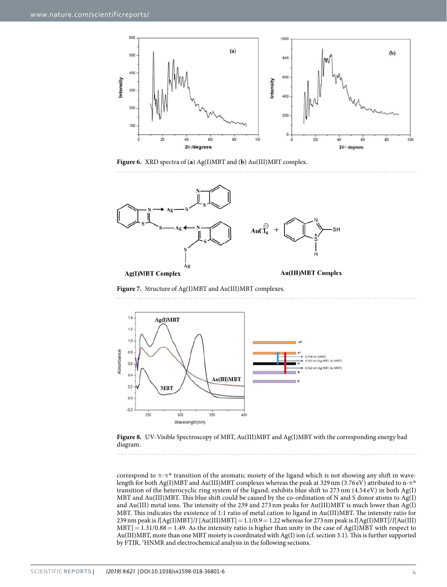

<span id="page-3-0"></span>**Figure 6.** XRD spectra of (**a**) Ag(I)MBT and (**b**) Au(III)MBT complex.



<span id="page-3-1"></span>**Figure 7.** Structure of Ag(I)MBT and Au(III)MBT complexes.



<span id="page-3-2"></span>**Figure 8.** UV-Visible Spectroscopy of MBT, Au(III)MBT and Ag(I)MBT with the corresponding energy bad diagram.

correspond to  $\pi$ - $\pi$ <sup>\*</sup> transition of the aromatic moiety of the ligand which is not showing any shift in wavelength for both Ag(I)MBT and Au(III)MBT complexes whereas the peak at 329 nm (3.76 eV) attributed to n- $\pi^*$ transition of the heterocyclic ring system of the ligand, exhibits blue shift to 273 nm (4.54 eV) in both Ag(I) MBT and Au(III)MBT. This blue shift could be caused by the co-ordination of N and S donor atoms to Ag(I) and Au(III) metal ions. The intensity of the 239 and 273 nm peaks for Au(III)MBT is much lower than Ag(I) MBT. This indicates the existence of 1:1 ratio of metal cation to ligand in Au(III)MBT. The intensity ratio for 239 nm peak is  $I[Ag(I)MBT]/I[Au(III)MBT] = 1.1/0.9 = 1.22$  whereas for 273 nm peak is  $I[Ag(I)MBT]/I[Au(III)$  $\text{MBT}$ ] = 1.31/0.88 = 1.49. As the intensity ratio is higher than unity in the case of Ag(I)MBT with respect to Au(III)MBT, more than one MBT moiety is coordinated with Ag(I) ion (cf. section 3.1). This is further supported by FTIR, <sup>1</sup>HNMR and electrochemical analysis in the following sections.

. . . . . . . . . . . .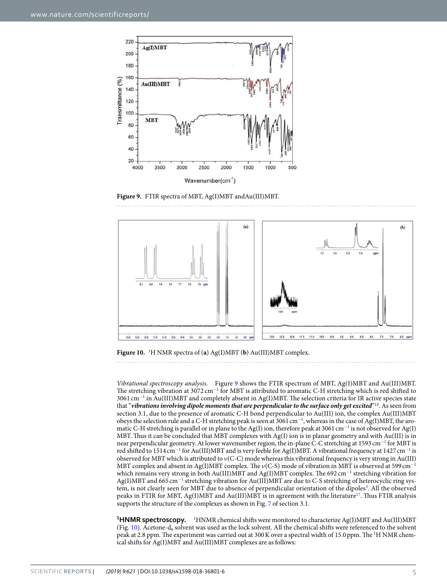

<span id="page-4-0"></span>**Figure 9.** FTIR spectra of MBT, Ag(I)MBT andAu(III)MBT.



<span id="page-4-1"></span>**Figure 10.** 1H NMR spectra of (**a**) Ag(I)MBT (**b**) Au(III)MBT complex.

Vibrational spectroscopy analysis. Figure [9](#page-4-0) shows the FTIR spectrum of MBT, Ag(I)MBT and Au(III)MBT. The stretching vibration at 3072 cm<sup>-1</sup> for MBT is attributed to aromatic C-H stretching which is red shifted to 3061 cm<sup>−</sup><sup>1</sup> in Au(III)MBT and completely absent in Ag(I)MBT. The selection criteria for IR active species state that "**vibrations involving dipole moments that are perpendicular to the surface only get excited**" [18](#page-8-11). As seen from section 3.1, due to the presence of aromatic C-H bond perpendicular to Au(III) ion, the complex Au(III)MBT obeys the selection rule and a C-H stretching peak is seen at 3061 cm<sup>−</sup><sup>1</sup> , whereas in the case of Ag(I)MBT, the aromatic C-H stretching is parallel or in plane to the Ag(I) ion, therefore peak at 3061 cm<sup>-1</sup> is not observed for Ag(I) MBT. Thus it can be concluded that MBT complexes with Ag(I) ion is in planar geometry and with Au(III) is in near perpendicular geometry. At lower wavenumber region, the in-plane C-C stretching at 1593 cm<sup>-1</sup> for MBT is red shifted to 1514 cm<sup>-1</sup> for Au(III)MBT and is very feeble for Ag(I)MBT. A vibrational frequency at 1427 cm<sup>-1</sup> is observed for MBT which is attributed to ν(C-C) mode whereas this vibrational frequency is very strong in Au(III) MBT complex and absent in Ag(I)MBT complex. The  $\nu$ (C-S) mode of vibration in MBT is observed at 599 cm<sup>-1</sup> which remains very strong in both Au(III)MBT and Ag(I)MBT complex. The 692 cm<sup>-1</sup> stretching vibration for Ag(I)MBT and 665 cm<sup>-1</sup> stretching vibration for Au(III)MBT are due to C-S stretching of heterocyclic ring sys-tem, is not clearly seen for MBT due to absence of perpendicular orientation of the dipoles<sup>[3](#page-8-2)</sup>. All the observed peaks in FTIR for MBT, Ag(I)MBT and Au(III)MBT is in agreement with the literature<sup>[17](#page-8-10)</sup>. Thus FTIR analysis supports the structure of the complexes as shown in Fig. [7](#page-3-1) of section 3.1.

**<sup>1</sup>HNMR spectroscopy.** <sup>1</sup>HNMR chemical shifts were monitored to characterize Ag(I)MBT and Au(III)MBT (Fig. [10](#page-4-1)). Acetone- $d_6$  solvent was used as the lock solvent. All the chemical shifts were referenced to the solvent peak at 2.8 ppm. The experiment was carried out at 300 K over a spectral width of 15.0 ppm. The <sup>1</sup>H NMR chemical shifts for Ag(I)MBT and Au(III)MBT complexes are as follows: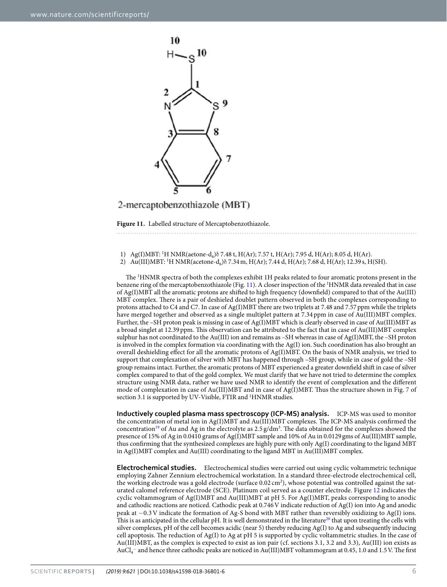

### 2-mercaptobenzothiazole (MBT)

<span id="page-5-0"></span>**Figure 11.** Labelled structure of Mercaptobenzothiazole.

1) Ag(I)MBT: <sup>1</sup>H NMR(aetone-d<sub>6</sub>)  $\delta$  7.48 t, H(Ar); 7.57 t, H(Ar); 7.95 d, H(Ar); 8.05 d, H(Ar).

2) Au(III)MBT: <sup>1</sup>H NMR(acetone-d<sub>6</sub>)  $\delta$  7.34 m, H(Ar); 7.44 d, H(Ar); 7.68 d, H(Ar); 12.39 s, H(SH).

The <sup>1</sup>HNMR spectra of both the complexes exhibit 1H peaks related to four aromatic protons present in the benzene ring of the mercaptobenzothiazole (Fig. [11\)](#page-5-0). A closer inspection of the <sup>1</sup>HNMR data revealed that in case of Ag(I)MBT all the aromatic protons are shifted to high frequency (downfield) compared to that of the Au(III) MBT complex. There is a pair of deshieled doublet pattern observed in both the complexes corresponding to protons attached to C4 and C7. In case of Ag(I)MBT there are two triplets at 7.48 and 7.57 ppm while the triplets have merged together and observed as a single multiplet pattern at 7.34 ppm in case of Au(III)MBT complex. Further, the –SH proton peak is missing in case of Ag(I)MBT which is clearly observed in case of Au(III)MBT as a broad singlet at 12.39 ppm. This observation can be attributed to the fact that in case of Au(III)MBT complex sulphur has not coordinated to the Au(III) ion and remains as –SH whereas in case of Ag(I)MBT, the –SH proton is involved in the complex formation via coordinating with the Ag(I) ion. Such coordination has also brought an overall deshielding effect for all the aromatic protons of Ag(I)MBT. On the basis of NMR analysis, we tried to support that complexation of silver with MBT has happened through –SH group, while in case of gold the –SH group remains intact. Further, the aromatic protons of MBT experienced a greater downfield shift in case of silver complex compared to that of the gold complex. We must clarify that we have not tried to determine the complex structure using NMR data, rather we have used NMR to identify the event of complexation and the different mode of complexation in case of Au(III)MBT and in case of Ag(I)MBT. Thus the structure shown in Fig. [7](#page-3-1) of section 3.1 is supported by UV-Visible, FTIR and <sup>1</sup>HNMR studies.

**Inductively coupled plasma mass spectroscopy (ICP-MS) analysis.** ICP-MS was used to monitor the concentration of metal ion in Ag(I)MBT and Au(III)MBT complexes. The ICP-MS analysis confirmed the concentration<sup>[19](#page-8-12)</sup> of Au and Ag in the electrolyte as  $2.5 g/dm<sup>3</sup>$ . The data obtained for the complexes showed the presence of 15% of Ag in 0.0410 grams of Ag(I)MBT sample and 10% of Au in 0.0129 gms of Au(III)MBT sample, thus confirming that the synthesized complexes are highly pure with only Ag(I) coordinating to the ligand MBT in Ag(I)MBT complex and Au(III) coordinating to the ligand MBT in Au(III)MBT complex.

**Electrochemical studies.** Electrochemical studies were carried out using cyclic voltammetric technique employing Zahner Zennium electrochemical workstation. In a standard three-electrode electrochemical cell, the working electrode was a gold electrode (surface  $0.02 \text{ cm}^2$ ), whose potential was controlled against the saturated calomel reference electrode (SCE). Platinum coil served as a counter electrode. Figure [12](#page-6-0) indicates the cyclic voltammogram of Ag(I)MBT and Au(III)MBT at pH 5. For Ag(I)MBT, peaks corresponding to anodic and cathodic reactions are noticed. Cathodic peak at 0.746 V indicate reduction of Ag(I) ion into Ag and anodic peak at −0.3 V indicate the formation of Ag-S bond with MBT rather than reversibly oxidizing to Ag(I) ions. This is as anticipated in the cellular pH. It is well demonstrated in the literature<sup>[20](#page-8-13)</sup> that upon treating the cells with silver complexes, pH of the cell becomes acidic (near 5) thereby reducing Ag(I) to Ag and subsequently inducing cell apoptosis. The reduction of Ag(I) to Ag at pH 5 is supported by cyclic voltammetric studies. In the case of Au(III)MBT, as the complex is expected to exist as ion pair (cf. sections 3.1, 3.2 and 3.3), Au(III) ion exists as AuCl<sup>4</sup> <sup>−</sup> and hence three cathodic peaks are noticed in Au(III)MBT voltammogram at 0.45, 1.0 and 1.5 V. The first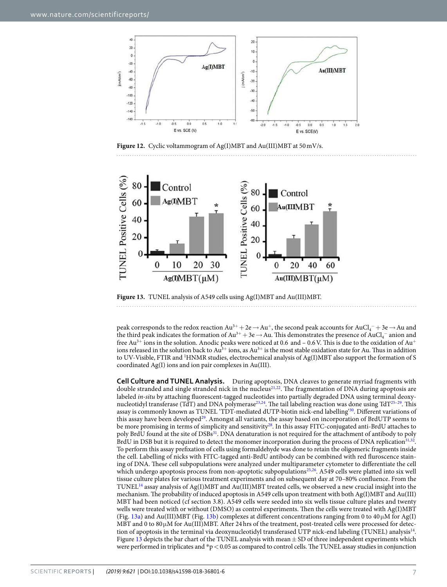

<span id="page-6-0"></span>**Figure 12.** Cyclic voltammogram of Ag(I)MBT and Au(III)MBT at 50 mV/s.



<span id="page-6-1"></span>**Figure 13.** TUNEL analysis of A549 cells using Ag(I)MBT and Au(III)MBT.

peak corresponds to the redox reaction  $Au^{3+} + 2e \rightarrow Au^{+}$ , the second peak accounts for  $AuCl_4^- + 3e \rightarrow Au$  and the third peak indicates the formation of  $Au^{3+} + 3e \rightarrow Au$ . This demonstrates the presence of  $AuCl_4^-$  anion and free Au<sup>3+</sup> ions in the solution. Anodic peaks were noticed at 0.6 and  $-$  0.6 V. This is due to the oxidation of Au<sup>+</sup> ions released in the solution back to  $Au^{3+}$  ions, as  $Au^{3+}$  is the most stable oxidation state for Au. Thus in addition to UV-Visible, FTIR and <sup>1</sup>HNMR studies, electrochemical analysis of Ag(I)MBT also support the formation of S coordinated Ag(I) ions and ion pair complexes in Au(III).

**Cell Culture and TUNEL Analysis.** During apoptosis, DNA cleaves to generate myriad fragments with double stranded and single stranded nick in the nucleus<sup>[21,](#page-8-14)[22](#page-8-15)</sup>. The fragmentation of DNA during apoptosis are labeled *in-situ* by attaching fluorescent-tagged nucleotides into partially degraded DNA using terminal deoxy-nucleotidyl transferase (TdT) and DNA polymerase<sup>[23,](#page-8-16)[24](#page-8-17)</sup>. The tail labeling reaction was done using TdT<sup>[25–](#page-8-18)[29](#page-8-19)</sup>. This assay is commonly known as TUNEL 'TDT-mediated dUTP-biotin nick-end labelling'[30](#page-8-20). Different variations of this assay have been developed<sup>[29](#page-8-19)</sup>. Amongst all variants, the assay based on incorporation of BrdUTP seems to be more promising in terms of simplicity and sensitivity<sup>[28](#page-8-21)</sup>. In this assay FITC-conjugated anti-BrdU attaches to poly BrdU found at the site of DSBs<sup>[31](#page-8-22)</sup>. DNA denaturation is not required for the attachment of antibody to poly BrdU in DSB but it is required to detect the monomer incorporation during the process of DNA replication<sup>[31,](#page-8-22)[32](#page-8-23)</sup>. To perform this assay prefixation of cells using formaldehyde was done to retain the oligomeric fragments inside the cell. Labelling of nicks with FITC-tagged anti-BrdU antibody can be combined with red fluroscence staining of DNA. These cell subpopulations were analyzed under multiparameter cytometer to differentiate the cell which undergo apoptosis process from non-apoptotic subpopulations<sup>[25](#page-8-18),[26](#page-8-24)</sup>. A549 cells were platted into six well tissue culture plates for various treatment experiments and on subsequent day at 70–80% confluence. From the TUNEL[14](#page-8-8) assay analysis of Ag(I)MBT and Au(III)MBT treated cells, we observed a new crucial insight into the mechanism. The probability of induced apoptosis in A549 cells upon treatment with both Ag(I)MBT and Au(III) MBT had been noticed (cf section 3.8). A549 cells were seeded into six wells tissue culture plates and twenty wells were treated with or without (DMSO) as control experiments. Then the cells were treated with Ag(I)MBT (Fig. [13a](#page-6-1)) and Au(III)MBT (Fig. [13b\)](#page-6-1) complexes at different concentrations ranging from 0 to 40  $\mu$ M for Ag(I) MBT and 0 to 80 $\mu$ M for Au(III)MBT. After 24 hrs of the treatment, post-treated cells were processed for detec-tion of apoptosis in the terminal via deoxynucleotidyl transferased UTP nick-end labeling (TUNEL) analysis<sup>[14](#page-8-8)</sup>. Figure [13](#page-6-1) depicts the bar chart of the TUNEL analysis with mean  $\pm$  SD of three independent experiments which were performed in triplicates and  $p < 0.05$  as compared to control cells. The TUNEL assay studies in conjunction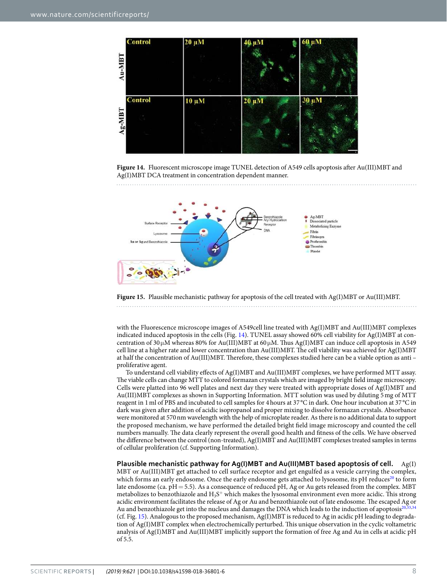

<span id="page-7-0"></span>**Figure 14.** Fluorescent microscope image TUNEL detection of A549 cells apoptosis after Au(III)MBT and Ag(I)MBT DCA treatment in concentration dependent manner.



<span id="page-7-1"></span>Figure 15. Plausible mechanistic pathway for apoptosis of the cell treated with Ag(I)MBT or Au(III)MBT. 

with the Fluorescence microscope images of A549cell line treated with Ag(I)MBT and Au(III)MBT complexes indicated induced apoptosis in the cells (Fig. [14](#page-7-0)). TUNEL assay showed 60% cell viability for Ag(I)MBT at concentration of 30 $\mu$ M whereas 80% for Au(III)MBT at 60 $\mu$ M. Thus Ag(I)MBT can induce cell apoptosis in A549 cell line at a higher rate and lower concentration than Au(III)MBT. The cell viability was achieved for Ag(I)MBT at half the concentration of Au(III)MBT. Therefore, these complexes studied here can be a viable option as anti – proliferative agent.

To understand cell viability effects of Ag(I)MBT and Au(III)MBT complexes, we have performed MTT assay. The viable cells can change MTT to colored formazan crystals which are imaged by bright field image microscopy. Cells were platted into 96 well plates and next day they were treated with appropriate doses of Ag(I)MBT and Au(III)MBT complexes as shown in Supporting Information. MTT solution was used by diluting 5 mg of MTT reagent in 1 ml of PBS and incubated to cell samples for 4 hours at 37 °C in dark. One hour incubation at 37 °C in dark was given after addition of acidic isopropanol and proper mixing to dissolve formazan crystals. Absorbance were monitored at 570 nm wavelength with the help of microplate reader. As there is no additional data to support the proposed mechanism, we have performed the detailed bright field image microscopy and counted the cell numbers manually. The data clearly represent the overall good health and fitness of the cells. We have observed the difference between the control (non-treated), Ag(I)MBT and Au(III)MBT complexes treated samples in terms of cellular proliferation (cf. Supporting Information).

**Plausible mechanistic pathway for Ag(I)MBT and Au(III)MBT based apoptosis of cell.** Ag(I) MBT or Au(III)MBT get attached to cell surface receptor and get engulfed as a vesicle carrying the complex, which forms an early endosome. Once the early endosome gets attached to lysosome, its pH reduces<sup>[20](#page-8-13)</sup> to form late endosome (ca. pH = 5.5). As a consequence of reduced pH, Ag or Au gets released from the complex. MBT metabolizes to benzothiazole and  $\rm H_3S^+$  which makes the lysosomal environment even more acidic. This strong acidic environment facilitates the release of Ag or Au and benzothiazole out of late endosome. The escaped Ag or Au and benzothiazole get into the nucleus and damages the DNA which leads to the induction of apoptosis<sup>20</sup>, (cf. Fig. [15\)](#page-7-1). Analogous to the proposed mechanism, Ag(I)MBT is reduced to Ag in acidic pH leading to degradation of Ag(I)MBT complex when electrochemically perturbed. This unique observation in the cyclic voltametric analysis of Ag(I)MBT and Au(III)MBT implicitly support the formation of free Ag and Au in cells at acidic pH of 5.5.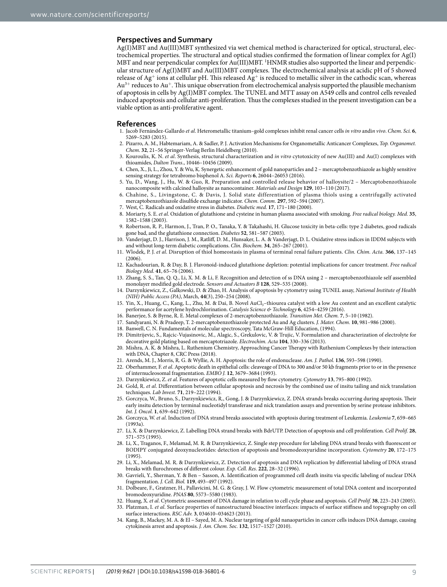#### **Perspectives and Summary**

Ag(I)MBT and Au(III)MBT synthesized via wet chemical method is characterized for optical, structural, electrochemical properties. The structural and optical studies confirmed the formation of linear complex for Ag(I) MBT and near perpendicular complex for Au(III)MBT. <sup>1</sup>HNMR studies also supported the linear and perpendicular structure of Ag(I)MBT and Au(III)MBT complexes. The electrochemical analysis at acidic pH of 5 showed release of Ag<sup>+</sup> ions at cellular pH. This released Ag<sup>+</sup> is reduced to metallic silver in the cathodic scan, whereas Au<sup>3</sup><sup>+</sup> reduces to Au<sup>+</sup>. This unique observation from electrochemical analysis supported the plausible mechanism of apoptosis in cells by Ag(I)MBT complex. The TUNEL and MTT assay on A549 cells and control cells revealed induced apoptosis and cellular anti-proliferation. Thus the complexes studied in the present investigation can be a viable option as anti-proliferative agent.

#### **References**

- <span id="page-8-0"></span> 1. Jacob Fernández-Gallardo et al. Heterometallic titanium–gold complexes inhibit renal cancer cells in vitro andin vivo. Chem. Sci. **6**, 5269–5283 (2015).
- <span id="page-8-1"></span> 2. Pizarro, A. M., Habtemariam, A. & Sadler, P. J. Activation Mechanisms for Organometallic Anticancer Complexes, Top. Organomet. Chem. **32**, 21–56 Springer-Verlag Berlin Heidelberg (2010).
- <span id="page-8-2"></span>3. Kouroulis, K. N. et al. Synthesis, structural characterization and in vitro cytotoxicity of new Au(III) and Au(I) complexes with thioamides, Dalton Trans., 10446–10456 (2009).
- <span id="page-8-3"></span> 4. Chen, X., Ji, L., Zhou, Y. & Wu, K. Synergetic enhancement of gold nanoparticles and 2 – mercaptobenzothiazole as highly sensitive sensing strategy for tetrabromo bisphenol A. Sci. Reports **6**, 26044–26053 (2016).
- <span id="page-8-4"></span> 5. Yu, D., Wang, J., Hu, W. & Guo, R. Preparation and controlled release behavior of halloysite/2 – Mercaptobenzothiazole nanocomposite with calcined halloysite as nanocontainer. Materials and Design **129**, 103–110 (2017).
- <span id="page-8-5"></span> 6. Chahine, S., Livingstone, C. & Davis, J. Solid state differentiation of plasma thiols using a centrifugally activated mercaptobenzothiazole disulfide exchange indicator. Chem. Comm. **297**, 592–594 (2007).
- 7. West, C. Radicals and oxidative stress in diabetes. Diabetic med. **17**, 171–180 (2000).
- 8. Moriarty, S. E. et al. Oxidation of glutathione and cysteine in human plasma associated with smoking. Free radical biology. Med. **35**, 1582–1588 (2003).
- 9. Robertson, R. P., Harmon, J., Tran, P. O., Tanaka, Y. & Takahashi, H. Glucose toxicity in beta-cells: type 2 diabetes, good radicals gone bad, and the glutathione connection. Diabetes **52**, 581–587 (2003).
- 10. Vanderjagt, D. J., Harrison, J. M., Ratliff, D. M., Hunsaker, L. A. & Vanderjagt, D. L. Oxidative stress indices in IDDM subjects with and without long-term diabetic complications. Clin. Biochem. **34**, 265–267 (2001).
- 11. Wlodek, P. J. et al. Disruption of thiol homeostasis in plasma of terminal renal failure patients. Clin. Chim. Acta. **366**, 137–145 (2006).
- <span id="page-8-6"></span> 12. Kachadourian, R. & Day, B. J. Flavonoid-induced glutathione depletion: potential implications for cancer treatment. Free radical Biology Med. **41**, 65–76 (2006).
- <span id="page-8-7"></span> 13. Zhang, S. S., Tan, Q. Q., Li, X. M. & Li, F. Recognition and detection of ss DNA using 2 – mercaptobenzothiazole self assembled monolayer modified gold electrode. Sensors and Actuators B **128**, 529–535 (2008).
- <span id="page-8-8"></span> 14. Darzynkiewicz, Z., Galkowski, D. & Zhao, H. Analysis of apoptosis by cytometry using TUNEL assay, National Institute of Health (NIH) Public Access (PA), March, **44**(3), 250–254 (2008).
- <span id="page-8-9"></span>Yin, X., Huang, C., Kang, L., Zhu, M. & Dai, B. Novel AuCl<sub>3</sub>-thiourea catalyst with a low Au content and an excellent catalytic performance for acetylene hydrochlorination. Catalysis Science & Technology **6**, 4254–4259 (2016).
- 16. Banerjee, S. & Byrne, R. E. Metal complexes of 2-mercaptobenzothiazole. Transition Met. Chem. **7**, 5–10 (1982).
- <span id="page-8-10"></span>17. Sandyarani, N. & Pradeep, T. 2-mercaptobenzothiazole protected Au and Ag clusters. J. Mater. Chem. **10**, 981–986 (2000).
- <span id="page-8-11"></span>18. Banwell, C. N. Fundamentals of molecular spectroscopy, Tata McGraw-Hill Education, (1994).
- <span id="page-8-12"></span> 19. Dimitrijevic, S., Rajcic-Vujasinovic, M., Alagic, S., Grekulovic, V. & Trujic, V. Formulation and characterization of electrolyte for decorative gold plating based on mercaptotriazole. Electrochim. Acta **104**, 330–336 (2013).
- <span id="page-8-13"></span> 20. Mishra, A. K. & Mishra, L. Ruthenium Chemistry, Approaching Cancer Therapy with Ruthenium Complexes by their interaction with DNA, Chapter 8, CRC Press (2018).
- <span id="page-8-14"></span>21. Arends, M. J., Morris, R. G. & Wyllie, A. H. Apoptosis: the role of endonuclease. Am. J. Pathol. **136**, 593–598 (1990).
- <span id="page-8-15"></span>22. Oberhammer, F. et al. Apoptotic death in epithelial cells: cleaveage of DNA to 300 and/or 50 kb fragments prior to or in the presence of internucleosomal fragmentation. EMBO J. **12**, 3679–3684 (1993).
- <span id="page-8-16"></span>23. Darzynkiewicz, Z. et al. Features of apoptotic cells measured by flow cytometry. Cytometry **13**, 795–800 (1992).
- <span id="page-8-17"></span>24. Gold, R. et al. Differentiation between cellular apoptosis and necrosis by the combined use of insitu tailing and nick translation techniques. Lab Invest. **71**, 219–222 (1994).
- <span id="page-8-18"></span> 25. Gorczyca, W., Bruno, S., Darzynkiewicz, R., Gong, J. & Darzynkiewicz, Z. DNA strands breaks occurring during apoptosis. Their early insitu detection by terminal nucleotidyl transferase and nick translation assays and prevention by serine protease inhibitors. Int. J. Oncol. **1**, 639–642 (1992).
- <span id="page-8-24"></span> 26. Gorczyca, W. et al. Induction of DNA strand breaks associated with apoptosis during treatment of Leukemia. Leukemia **7**, 659–665 (1993a).
- 27. Li, X. & Darzynkiewicz, Z. Labelling DNA strand breaks with BdrUTP. Detection of apoptosis and cell proliferation. Cell Prolif. **28**, 571–575 (1995).
- <span id="page-8-21"></span> 28. Li, X., Traganos, F., Melamad, M. R. & Darzynkiewicz, Z. Single step procedure for labeling DNA strand breaks with fluorescent or BODIPY conjugated deoxynucleotides: detection of apoptosis and bromodeoxyuridine incorporation. Cytometry **20**, 172–175  $(1995)$
- <span id="page-8-19"></span> 29. Li, X., Melamad, M. R. & Darzynkiewicz, Z. Detection of apoptosis and DNA replication by differential labeling of DNA strand breaks with flurochromes of different colour. Exp. Cell. Res. **222**, 28–32 (1996).
- <span id="page-8-20"></span> 30. Gavrieli, Y., Sherman, Y. & Ben – Sasson, A. Identification of programmed cell death insitu via specific labeling of nuclear DNA fragmentation. J. Cell. Biol. **119**, 493–497 (1992).
- <span id="page-8-22"></span> 31. Dolbeare, F., Gratzner, H., Pallavicini, M. G. & Gray, J. W. Flow cytometric measurement of total DNA content and incorporated bromodeoxyuridine. PNAS **80**, 5573–5580 (1983).
- <span id="page-8-25"></span><span id="page-8-23"></span> 32. Huang, X. et al. Cytometric assessment of DNA damage in relation to cell cycle phase and apoptosis. Cell Prolif. **38**, 223–243 (2005). 33. Platzman, I. et al. Surface properties of nanostructured bioactive interfaces: impacts of surface stiffness and topography on cell
- surface interactions. RSC Adv. **3**, 034610–034623 (2013).
- <span id="page-8-26"></span> 34. Kang, B., Mackey, M. A. & El – Sayed, M. A. Nuclear targeting of gold nanaoparticles in cancer cells induces DNA damage, causing cytokinesis arrest and apoptosis. J. Am. Chem. Soc. **132**, 1517–1527 (2010).